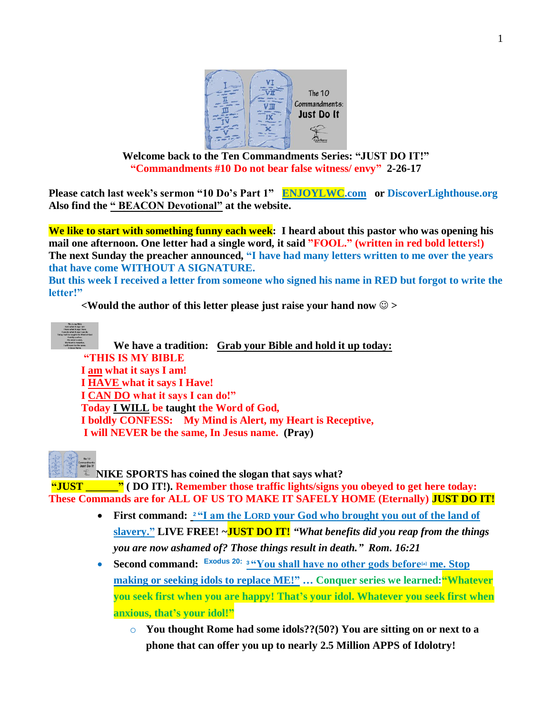

**Welcome back to the Ten Commandments Series: "JUST DO IT!" "Commandments #10 Do not bear false witness/ envy" 2-26-17**

**Please catch last week's sermon "10 Do's Part 1" [ENJOYLWC.com](http://www.enjoylwc.com/) or DiscoverLighthouse.org Also find the " BEACON Devotional" at the website.**

**We like to start with something funny each week: I heard about this pastor who was opening his mail one afternoon. One letter had a single word, it said "FOOL." (written in red bold letters!) The next Sunday the preacher announced, "I have had many letters written to me over the years that have come WITHOUT A SIGNATURE. But this week I received a letter from someone who signed his name in RED but forgot to write the** 

**letter!"** 

**<Would the author of this letter please just raise your hand now >**



**We have a tradition: Grab your Bible and hold it up today: "THIS IS MY BIBLE I am what it says I am! I HAVE what it says I Have! I CAN DO what it says I can do!" Today I WILL be taught the Word of God, I boldly CONFESS: My Mind is Alert, my Heart is Receptive, I will NEVER be the same, In Jesus name. (Pray)**

**NIKE SPORTS has coined the slogan that says what?** 

**"JUST \_\_\_\_\_\_" ( DO IT!). Remember those traffic lights/signs you obeyed to get here today: These Commands are for ALL OF US TO MAKE IT SAFELY HOME (Eternally) JUST DO IT!**

- First command: <sup>24</sup> am the LORD your God who brought you out of the land of **slavery." LIVE FREE! ~JUST DO IT!** *"What benefits did you reap from the things you are now ashamed of? Those things result in death." Rom. 16:21*
- **Second command: Exodus 20: 3 "You shall have no other gods before me. Stop making or seeking idols to replace ME!" … Conquer series we learned:"Whatever you seek first when you are happy! That's your idol. Whatever you seek first when anxious, that's your idol!"**
	- o **You thought Rome had some idols??(50?) You are sitting on or next to a phone that can offer you up to nearly 2.5 Million APPS of Idolotry!**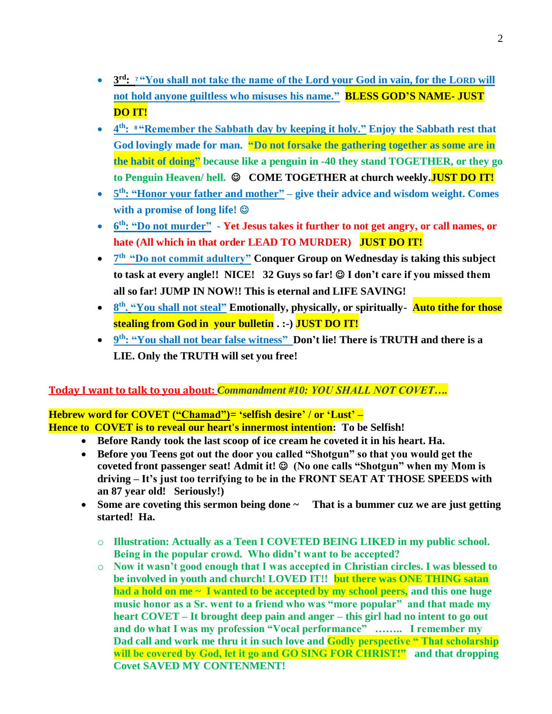- **8 3**<sup>rd</sup>: <sup>7</sup> **"You shall not take the name of the Lord your God in vain, for the LORD will not hold anyone guiltless who misuses his name." BLESS GOD'S NAME- JUST DO IT!**
- **4 th: <sup>8</sup> "Remember the Sabbath day by keeping it holy." Enjoy the Sabbath rest that God lovingly made for man. "Do not forsake the gathering together as some are in the habit of doing" because like a penguin in -40 they stand TOGETHER, or they go**  to Penguin Heaven/ hell. © COME TOGETHER at church weekly.**JUST DO IT!**
- 5<sup>th</sup>: "Honor your father and mother" give their advice and wisdom weight. Comes **with a promise of long life!**
- **6** of  $f_h$ : "Do not murder" Yet Jesus takes it further to not get angry, or call names, or **hate (All which in that order LEAD TO MURDER) JUST DO IT!**
- $7<sup>th</sup>$  **"Do not commit adultery"** Conquer Group on Wednesday is taking this subject to task at every angle!! NICE! 32 Guys so far!  $\odot$  I don't care if you missed them **all so far! JUMP IN NOW!! This is eternal and LIFE SAVING!**
- **8 b**<sub>**m**</sub>. **e** *s***<sup>th</sup>, <b>"You shall not steal" Emotionally, physically, or spiritually- Auto tithe for those stealing from God in your bulletin . :-) JUST DO IT!**
- **9 th**: "You shall not bear false witness" Don't lie! There is TRUTH and there is a **LIE. Only the TRUTH will set you free!**

# **Today I want to talk to you about:** *Commandment #10: YOU SHALL NOT COVET….*

# **Hebrew word for COVET ("Chamad")= 'selfish desire' / or 'Lust' – Hence to COVET is to reveal our heart's innermost intention: To be Selfish!**

- **Before Randy took the last scoop of ice cream he coveted it in his heart. Ha.**
- **Before you Teens got out the door you called "Shotgun" so that you would get the**  coveted front passenger seat! Admit it!  $\odot$  (No one calls "Shotgun" when my Mom is **driving – It's just too terrifying to be in the FRONT SEAT AT THOSE SPEEDS with an 87 year old! Seriously!)**
- Some are coveting this sermon being done  $\sim$  That is a bummer cuz we are just getting **started! Ha.** 
	- o **Illustration: Actually as a Teen I COVETED BEING LIKED in my public school. Being in the popular crowd. Who didn't want to be accepted?**
	- o **Now it wasn't good enough that I was accepted in Christian circles. I was blessed to be involved in youth and church! LOVED IT!! but there was ONE THING satan had a hold on me ~ I wanted to be accepted by my school peers, and this one huge music honor as a Sr. went to a friend who was "more popular" and that made my heart COVET – It brought deep pain and anger – this girl had no intent to go out and do what I was my profession "Vocal performance" …….. I remember my Dad call and work me thru it in such love and Godly perspective " That scholarship will be covered by God, let it go and GO SING FOR CHRIST!" and that dropping Covet SAVED MY CONTENMENT!**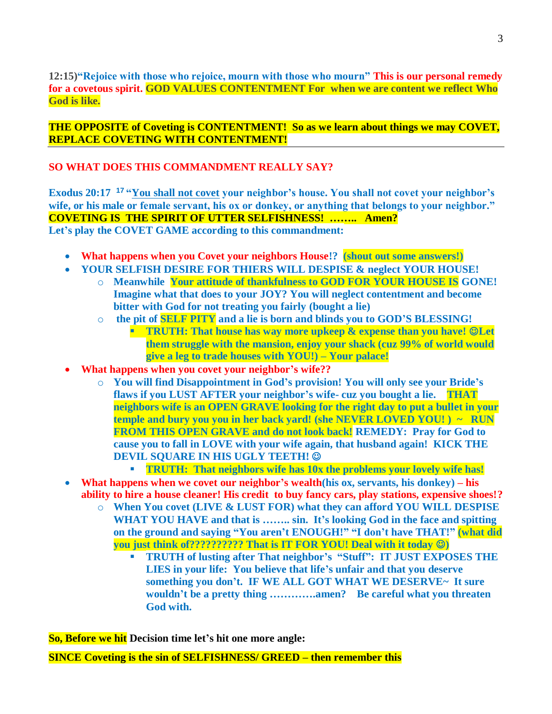**12:15)"Rejoice with those who rejoice, mourn with those who mourn" This is our personal remedy for a covetous spirit. GOD VALUES CONTENTMENT For when we are content we reflect Who God is like.**

**THE OPPOSITE of Coveting is CONTENTMENT! So as we learn about things we may COVET, REPLACE COVETING WITH CONTENTMENT!**

### **SO WHAT DOES THIS COMMANDMENT REALLY SAY?**

**Exodus 20:17 <sup>17</sup> "You shall not covet your neighbor's house. You shall not covet your neighbor's wife, or his male or female servant, his ox or donkey, or anything that belongs to your neighbor." COVETING IS THE SPIRIT OF UTTER SELFISHNESS! …….. Amen? Let's play the COVET GAME according to this commandment:** 

- **What happens when you Covet your neighbors House!? (shout out some answers!)**
- **YOUR SELFISH DESIRE FOR THIERS WILL DESPISE & neglect YOUR HOUSE!** 
	- o **Meanwhile Your attitude of thankfulness to GOD FOR YOUR HOUSE IS GONE! Imagine what that does to your JOY? You will neglect contentment and become bitter with God for not treating you fairly (bought a lie)**
	- o **the pit of SELF PITY and a lie is born and blinds you to GOD'S BLESSING!**
		- **TRUTH: That house has way more upkeep & expense than you have! ©Let them struggle with the mansion, enjoy your shack (cuz 99% of world would give a leg to trade houses with YOU!) – Your palace!**
- **What happens when you covet your neighbor's wife??** 
	- o **You will find Disappointment in God's provision! You will only see your Bride's flaws if you LUST AFTER your neighbor's wife- cuz you bought a lie. THAT neighbors wife is an OPEN GRAVE looking for the right day to put a bullet in your temple and bury you you in her back yard! (she NEVER LOVED YOU! ) ~ RUN FROM THIS OPEN GRAVE and do not look back! REMEDY: Pray for God to cause you to fall in LOVE with your wife again, that husband again! KICK THE DEVIL SQUARE IN HIS UGLY TEETH!** 
		- **TRUTH: That neighbors wife has 10x the problems your lovely wife has!**
- **What happens when we covet our neighbor's wealth(his ox, servants, his donkey) – his ability to hire a house cleaner! His credit to buy fancy cars, play stations, expensive shoes!?** 
	- o **When You covet (LIVE & LUST FOR) what they can afford YOU WILL DESPISE WHAT YOU HAVE and that is …….. sin. It's looking God in the face and spitting on the ground and saying "You aren't ENOUGH!" "I don't have THAT!" (what did you just think of?????????? That is IT FOR YOU! Deal with it today )** 
		- **TRUTH of lusting after That neighbor's "Stuff": IT JUST EXPOSES THE LIES in your life: You believe that life's unfair and that you deserve something you don't. IF WE ALL GOT WHAT WE DESERVE~ It sure wouldn't be a pretty thing ………….amen? Be careful what you threaten God with.**

**So, Before we hit Decision time let's hit one more angle:** 

**SINCE Coveting is the sin of SELFISHNESS/ GREED – then remember this**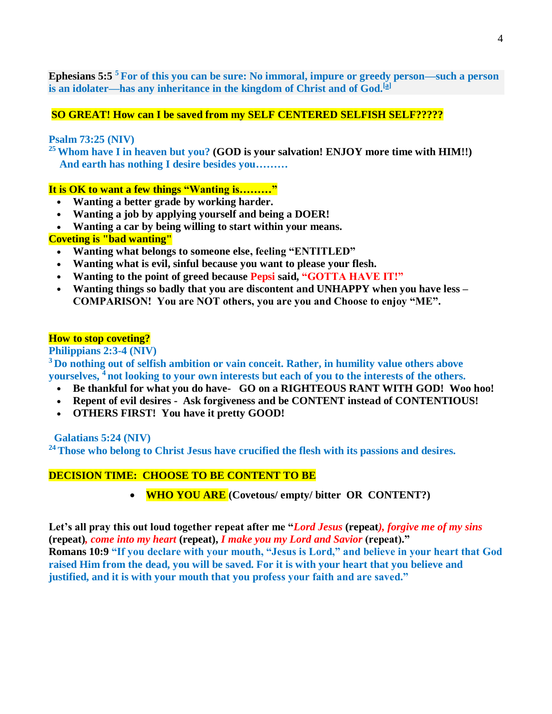**Ephesians 5:5 <sup>5</sup> For of this you can be sure: No immoral, impure or greedy person—such a person is an idolater—has any inheritance in the kingdom of Christ and of God.[\[a\]](https://www.biblegateway.com/passage/?search=EPHESIANS+5%3A5&version=NIV#fen-NIV-29310a)**

## **SO GREAT! How can I be saved from my SELF CENTERED SELFISH SELF?????**

#### **Psalm 73:25 (NIV)**

**<sup>25</sup>Whom have I in heaven but you? (GOD is your salvation! ENJOY more time with HIM!!) And earth has nothing I desire besides you………** 

#### **It is OK to want a few things "Wanting is………"**

- **Wanting a better grade by working harder.**
- **Wanting a job by applying yourself and being a DOER!**
- **Wanting a car by being willing to start within your means.**

### **Coveting is "bad wanting"**

- **Wanting what belongs to someone else, feeling "ENTITLED"**
- **Wanting what is evil, sinful because you want to please your flesh.**
- **Wanting to the point of greed because Pepsi said, "GOTTA HAVE IT!"**
- **Wanting things so badly that you are discontent and UNHAPPY when you have less – COMPARISON! You are NOT others, you are you and Choose to enjoy "ME".**

#### **How to stop coveting?**

**Philippians 2:3-4 (NIV)**

**<sup>3</sup> Do nothing out of selfish ambition or vain conceit. Rather, in humility value others above yourselves, <sup>4</sup> not looking to your own interests but each of you to the interests of the others.**

- **Be thankful for what you do have- GO on a RIGHTEOUS RANT WITH GOD! Woo hoo!**
- **Repent of evil desires Ask forgiveness and be CONTENT instead of CONTENTIOUS!**
- **OTHERS FIRST! You have it pretty GOOD!**

 **Galatians 5:24 (NIV)**

**<sup>24</sup>Those who belong to Christ Jesus have crucified the flesh with its passions and desires.** 

#### **DECISION TIME: CHOOSE TO BE CONTENT TO BE**

**WHO YOU ARE (Covetous/ empty/ bitter OR CONTENT?)**

**Let's all pray this out loud together repeat after me "***Lord Jesus* **(repeat***), forgive me of my sins*  **(repeat)***, come into my heart* **(repeat),** *I make you my Lord and Savior* **(repeat)." Romans 10:9 "If you declare with your mouth, "Jesus is Lord," and believe in your heart that God raised Him from the dead, you will be saved. For it is with your heart that you believe and justified, and it is with your mouth that you profess your faith and are saved."**